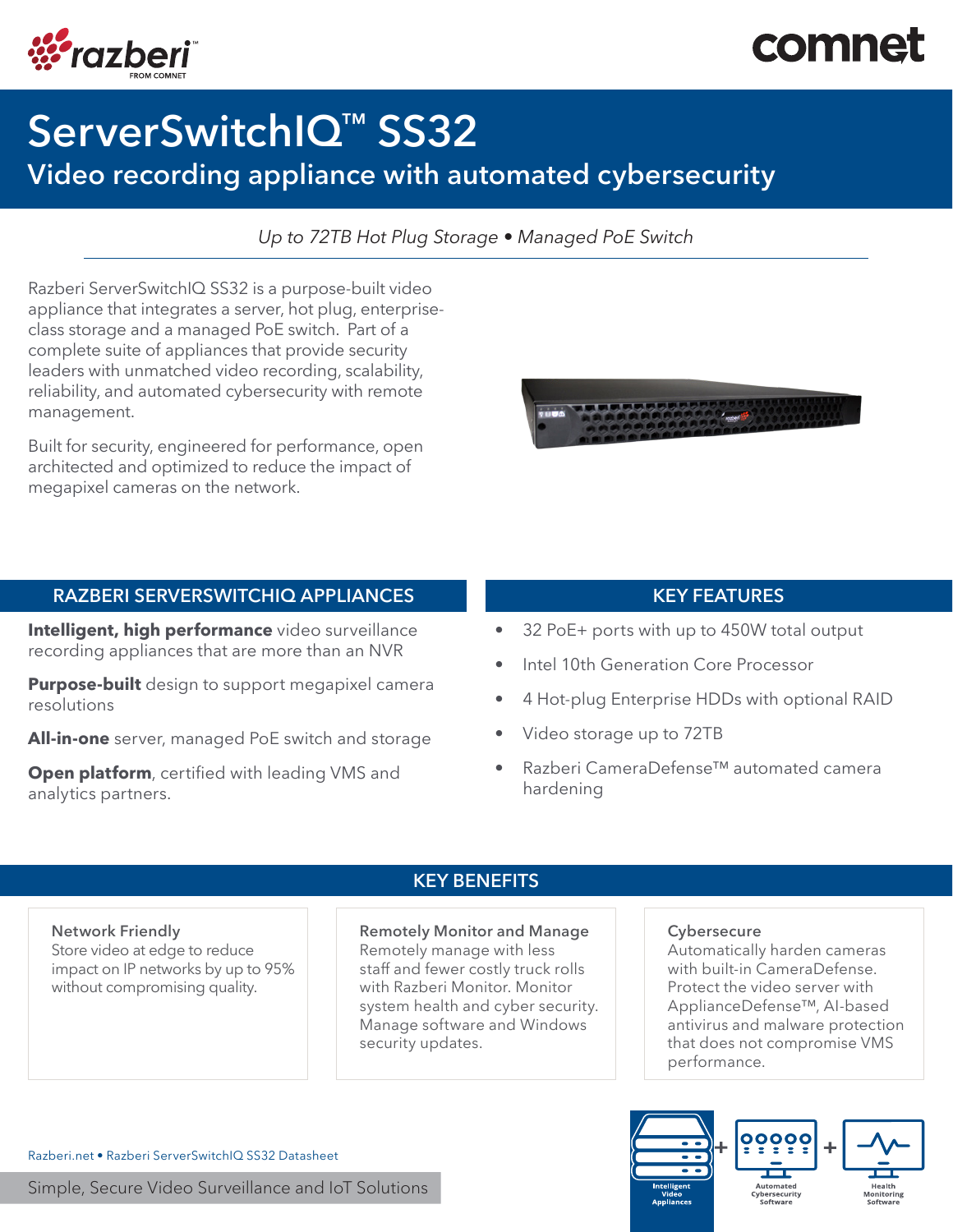# comne



# ServerSwitchIQ<sup>™</sup> SS32

## Video recording appliance with automated cybersecurity

*Up to 72TB Hot Plug Storage • Managed PoE Switch* 

Razberi ServerSwitchIQ SS32 is a purpose-built video appliance that integrates a server, hot plug, enterpriseclass storage and a managed PoE switch. Part of a complete suite of appliances that provide security leaders with unmatched video recording, scalability, reliability, and automated cybersecurity with remote management.

Built for security, engineered for performance, open architected and optimized to reduce the impact of megapixel cameras on the network.

### RAZBERI SERVERSWITCHIQ APPLIANCES KEY FEATURES

Intelligent, high performance video surveillance recording appliances that are more than an NVR

**Purpose-built** design to support megapixel camera resolutions

All-in-one server, managed PoE switch and storage

**Open platform**, certified with leading VMS and analytics partners.



- 32 PoE+ ports with up to 450W total output
- Intel 10th Generation Core Processor
- 4 Hot-plug Enterprise HDDs with optional RAID
- Video storage up to 72TB
- Razberi CameraDefense™ automated camera hardening

#### Network Friendly

Store video at edge to reduce impact on IP networks by up to 95% without compromising quality.

#### KEY BENEFITS

#### Remotely Monitor and Manage

Remotely manage with less staff and fewer costly truck rolls with Razberi Monitor. Monitor system health and cyber security. Manage software and Windows security updates.

#### **Cybersecure**

Automatically harden cameras with built-in CameraDefense. Protect the video server with ApplianceDefense™, AI-based antivirus and malware protection that does not compromise VMS performance.



Razberi.net • Razberi ServerSwitchIQ SS32 Datasheet

Simple, Secure Video Surveillance and IoT Solutions